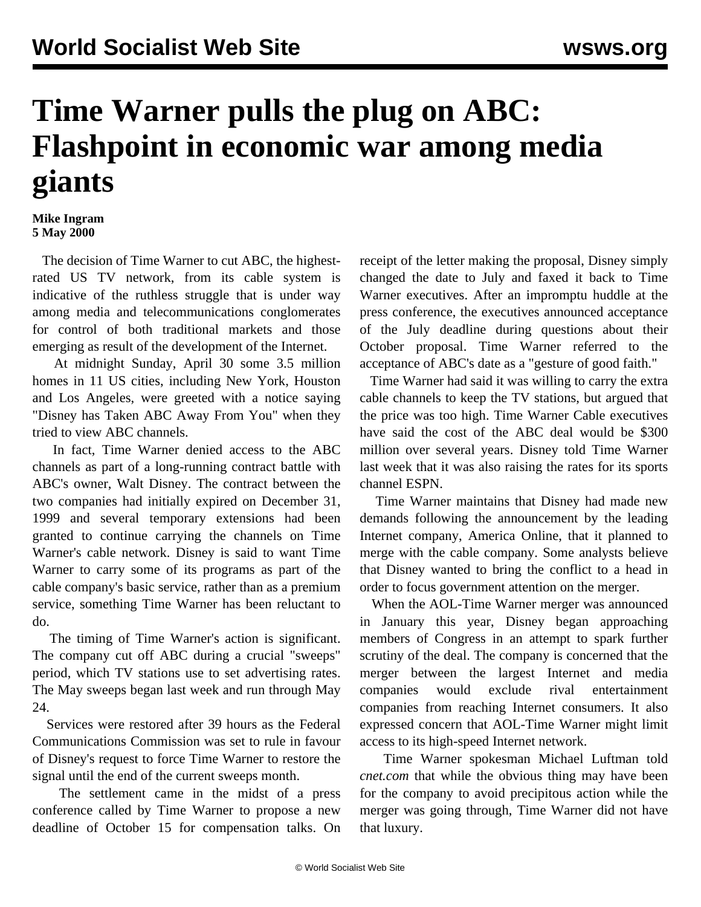## **Time Warner pulls the plug on ABC: Flashpoint in economic war among media giants**

## **Mike Ingram 5 May 2000**

 The decision of Time Warner to cut ABC, the highestrated US TV network, from its cable system is indicative of the ruthless struggle that is under way among media and telecommunications conglomerates for control of both traditional markets and those emerging as result of the development of the Internet.

 At midnight Sunday, April 30 some 3.5 million homes in 11 US cities, including New York, Houston and Los Angeles, were greeted with a notice saying "Disney has Taken ABC Away From You" when they tried to view ABC channels.

 In fact, Time Warner denied access to the ABC channels as part of a long-running contract battle with ABC's owner, Walt Disney. The contract between the two companies had initially expired on December 31, 1999 and several temporary extensions had been granted to continue carrying the channels on Time Warner's cable network. Disney is said to want Time Warner to carry some of its programs as part of the cable company's basic service, rather than as a premium service, something Time Warner has been reluctant to do.

 The timing of Time Warner's action is significant. The company cut off ABC during a crucial "sweeps" period, which TV stations use to set advertising rates. The May sweeps began last week and run through May 24.

 Services were restored after 39 hours as the Federal Communications Commission was set to rule in favour of Disney's request to force Time Warner to restore the signal until the end of the current sweeps month.

 The settlement came in the midst of a press conference called by Time Warner to propose a new deadline of October 15 for compensation talks. On receipt of the letter making the proposal, Disney simply changed the date to July and faxed it back to Time Warner executives. After an impromptu huddle at the press conference, the executives announced acceptance of the July deadline during questions about their October proposal. Time Warner referred to the acceptance of ABC's date as a "gesture of good faith."

 Time Warner had said it was willing to carry the extra cable channels to keep the TV stations, but argued that the price was too high. Time Warner Cable executives have said the cost of the ABC deal would be \$300 million over several years. Disney told Time Warner last week that it was also raising the rates for its sports channel ESPN.

 Time Warner maintains that Disney had made new demands following the announcement by the leading Internet company, America Online, that it planned to merge with the cable company. Some analysts believe that Disney wanted to bring the conflict to a head in order to focus government attention on the merger.

 When the AOL-Time Warner merger was announced in January this year, Disney began approaching members of Congress in an attempt to spark further scrutiny of the deal. The company is concerned that the merger between the largest Internet and media companies would exclude rival entertainment companies from reaching Internet consumers. It also expressed concern that AOL-Time Warner might limit access to its high-speed Internet network.

 Time Warner spokesman Michael Luftman told *cnet.com* that while the obvious thing may have been for the company to avoid precipitous action while the merger was going through, Time Warner did not have that luxury.